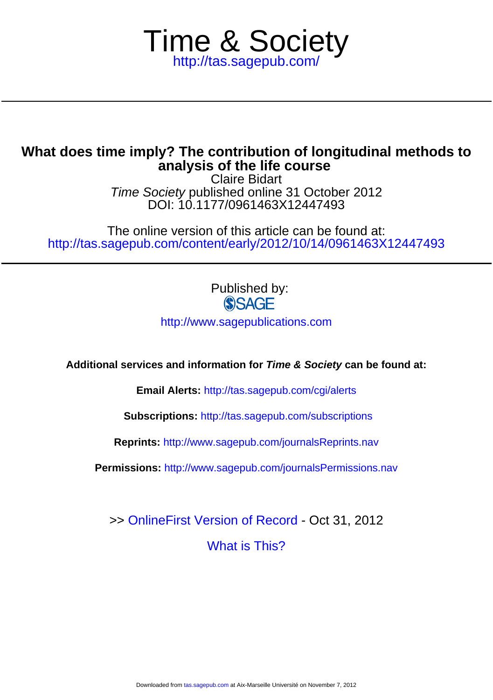

# **analysis of the life course What does time imply? The contribution of longitudinal methods to**

DOI: 10.1177/0961463X12447493 Time Society published online 31 October 2012 Claire Bidart

<http://tas.sagepub.com/content/early/2012/10/14/0961463X12447493> The online version of this article can be found at:

> Published by:<br>
> SAGE <http://www.sagepublications.com>

**Additional services and information for Time & Society can be found at:**

**Email Alerts:** <http://tas.sagepub.com/cgi/alerts>

**Subscriptions:** <http://tas.sagepub.com/subscriptions>

**Reprints:** <http://www.sagepub.com/journalsReprints.nav>

**Permissions:** <http://www.sagepub.com/journalsPermissions.nav>

>> [OnlineFirst Version of Record -](http://tas.sagepub.com/content/early/2012/10/14/0961463X12447493.full.pdf) Oct 31, 2012

[What is This?](http://online.sagepub.com/site/sphelp/vorhelp.xhtml)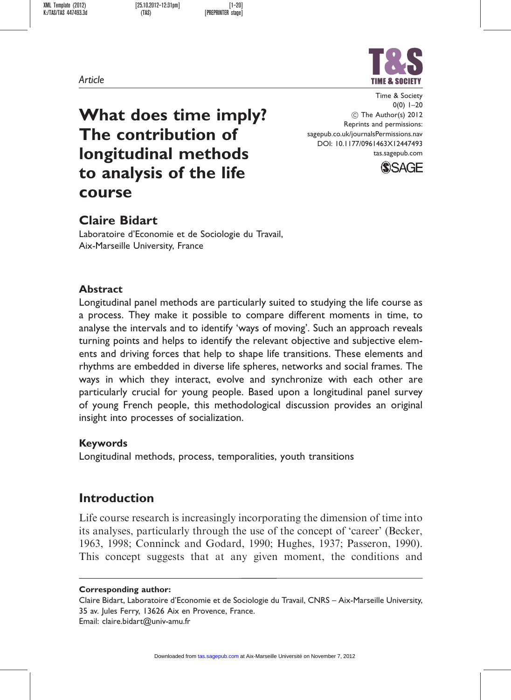

What does time imply? The contribution of longitudinal methods to analysis of the life course

Time & Society  $0(0)$  1–20 C The Author(s) 2012 Reprints and permissions: sagepub.co.uk/journalsPermissions.nav DOI: 10.1177/0961463X12447493 tas.sagepub.com



# Claire Bidart

Laboratoire d'Economie et de Sociologie du Travail, Aix-Marseille University, France

### Abstract

Longitudinal panel methods are particularly suited to studying the life course as a process. They make it possible to compare different moments in time, to analyse the intervals and to identify 'ways of moving'. Such an approach reveals turning points and helps to identify the relevant objective and subjective elements and driving forces that help to shape life transitions. These elements and rhythms are embedded in diverse life spheres, networks and social frames. The ways in which they interact, evolve and synchronize with each other are particularly crucial for young people. Based upon a longitudinal panel survey of young French people, this methodological discussion provides an original insight into processes of socialization.

#### Keywords

Longitudinal methods, process, temporalities, youth transitions

# Introduction

Life course research is increasingly incorporating the dimension of time into its analyses, particularly through the use of the concept of 'career' (Becker, 1963, 1998; Conninck and Godard, 1990; Hughes, 1937; Passeron, 1990). This concept suggests that at any given moment, the conditions and

Corresponding author:

Claire Bidart, Laboratoire d'Economie et de Sociologie du Travail, CNRS – Aix-Marseille University, 35 av. Jules Ferry, 13626 Aix en Provence, France. Email: claire.bidart@univ-amu.fr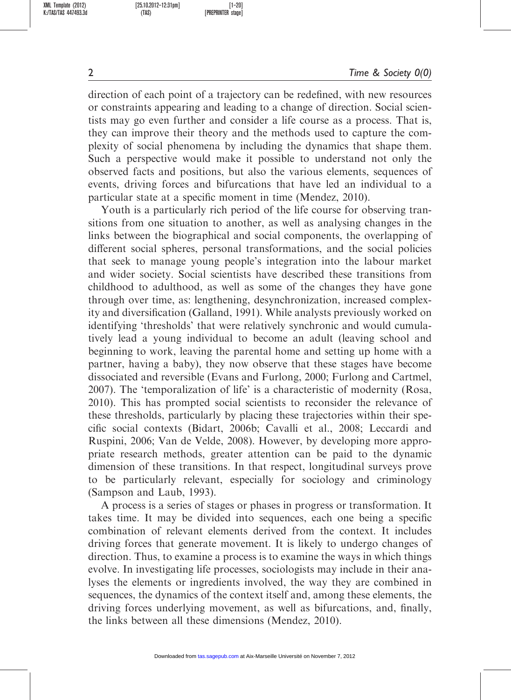direction of each point of a trajectory can be redefined, with new resources or constraints appearing and leading to a change of direction. Social scientists may go even further and consider a life course as a process. That is, they can improve their theory and the methods used to capture the complexity of social phenomena by including the dynamics that shape them. Such a perspective would make it possible to understand not only the observed facts and positions, but also the various elements, sequences of events, driving forces and bifurcations that have led an individual to a particular state at a specific moment in time (Mendez, 2010).

Youth is a particularly rich period of the life course for observing transitions from one situation to another, as well as analysing changes in the links between the biographical and social components, the overlapping of different social spheres, personal transformations, and the social policies that seek to manage young people's integration into the labour market and wider society. Social scientists have described these transitions from childhood to adulthood, as well as some of the changes they have gone through over time, as: lengthening, desynchronization, increased complexity and diversification (Galland, 1991). While analysts previously worked on identifying 'thresholds' that were relatively synchronic and would cumulatively lead a young individual to become an adult (leaving school and beginning to work, leaving the parental home and setting up home with a partner, having a baby), they now observe that these stages have become dissociated and reversible (Evans and Furlong, 2000; Furlong and Cartmel, 2007). The 'temporalization of life' is a characteristic of modernity (Rosa, 2010). This has prompted social scientists to reconsider the relevance of these thresholds, particularly by placing these trajectories within their specific social contexts (Bidart, 2006b; Cavalli et al., 2008; Leccardi and Ruspini, 2006; Van de Velde, 2008). However, by developing more appropriate research methods, greater attention can be paid to the dynamic dimension of these transitions. In that respect, longitudinal surveys prove to be particularly relevant, especially for sociology and criminology (Sampson and Laub, 1993).

A process is a series of stages or phases in progress or transformation. It takes time. It may be divided into sequences, each one being a specific combination of relevant elements derived from the context. It includes driving forces that generate movement. It is likely to undergo changes of direction. Thus, to examine a process is to examine the ways in which things evolve. In investigating life processes, sociologists may include in their analyses the elements or ingredients involved, the way they are combined in sequences, the dynamics of the context itself and, among these elements, the driving forces underlying movement, as well as bifurcations, and, finally, the links between all these dimensions (Mendez, 2010).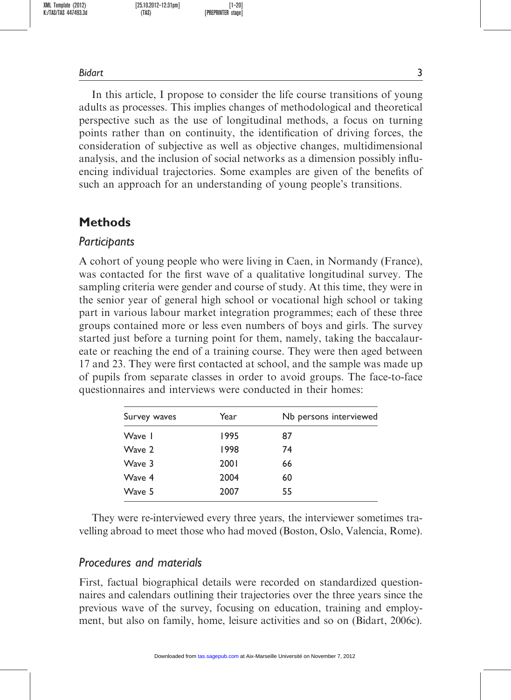In this article, I propose to consider the life course transitions of young adults as processes. This implies changes of methodological and theoretical perspective such as the use of longitudinal methods, a focus on turning points rather than on continuity, the identification of driving forces, the consideration of subjective as well as objective changes, multidimensional analysis, and the inclusion of social networks as a dimension possibly influencing individual trajectories. Some examples are given of the benefits of such an approach for an understanding of young people's transitions.

### **Methods**

#### **Particibants**

A cohort of young people who were living in Caen, in Normandy (France), was contacted for the first wave of a qualitative longitudinal survey. The sampling criteria were gender and course of study. At this time, they were in the senior year of general high school or vocational high school or taking part in various labour market integration programmes; each of these three groups contained more or less even numbers of boys and girls. The survey started just before a turning point for them, namely, taking the baccalaureate or reaching the end of a training course. They were then aged between 17 and 23. They were first contacted at school, and the sample was made up of pupils from separate classes in order to avoid groups. The face-to-face questionnaires and interviews were conducted in their homes:

| Survey waves | Year | Nb persons interviewed |
|--------------|------|------------------------|
| Wave I       | 1995 | 87                     |
| Wave 2       | 1998 | 74                     |
| Wave 3       | 2001 | 66                     |
| Wave 4       | 2004 | 60                     |
| Wave 5       | 2007 | 55                     |

They were re-interviewed every three years, the interviewer sometimes travelling abroad to meet those who had moved (Boston, Oslo, Valencia, Rome).

### Procedures and materials

First, factual biographical details were recorded on standardized questionnaires and calendars outlining their trajectories over the three years since the previous wave of the survey, focusing on education, training and employment, but also on family, home, leisure activities and so on (Bidart, 2006c).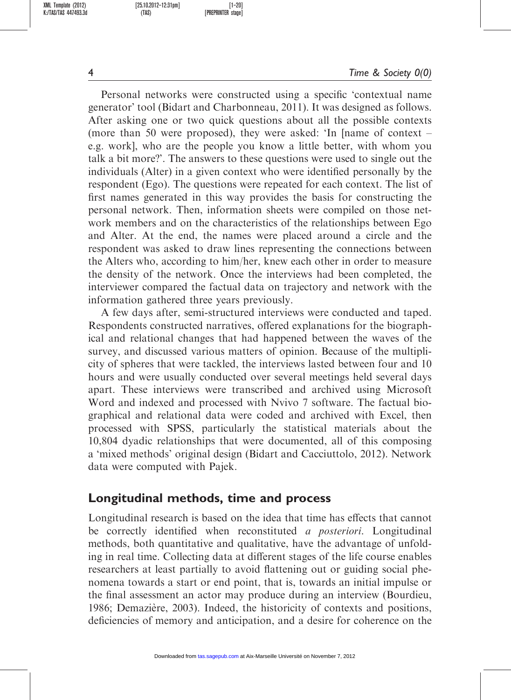Personal networks were constructed using a specific 'contextual name generator' tool (Bidart and Charbonneau, 2011). It was designed as follows. After asking one or two quick questions about all the possible contexts (more than 50 were proposed), they were asked: 'In [name of context – e.g. work], who are the people you know a little better, with whom you talk a bit more?'. The answers to these questions were used to single out the individuals (Alter) in a given context who were identified personally by the respondent (Ego). The questions were repeated for each context. The list of first names generated in this way provides the basis for constructing the personal network. Then, information sheets were compiled on those network members and on the characteristics of the relationships between Ego and Alter. At the end, the names were placed around a circle and the respondent was asked to draw lines representing the connections between the Alters who, according to him/her, knew each other in order to measure the density of the network. Once the interviews had been completed, the interviewer compared the factual data on trajectory and network with the information gathered three years previously.

A few days after, semi-structured interviews were conducted and taped. Respondents constructed narratives, offered explanations for the biographical and relational changes that had happened between the waves of the survey, and discussed various matters of opinion. Because of the multiplicity of spheres that were tackled, the interviews lasted between four and 10 hours and were usually conducted over several meetings held several days apart. These interviews were transcribed and archived using Microsoft Word and indexed and processed with Nvivo 7 software. The factual biographical and relational data were coded and archived with Excel, then processed with SPSS, particularly the statistical materials about the 10,804 dyadic relationships that were documented, all of this composing a 'mixed methods' original design (Bidart and Cacciuttolo, 2012). Network data were computed with Pajek.

### Longitudinal methods, time and process

Longitudinal research is based on the idea that time has effects that cannot be correctly identified when reconstituted a posteriori. Longitudinal methods, both quantitative and qualitative, have the advantage of unfolding in real time. Collecting data at different stages of the life course enables researchers at least partially to avoid flattening out or guiding social phenomena towards a start or end point, that is, towards an initial impulse or the final assessment an actor may produce during an interview (Bourdieu, 1986; Demazière, 2003). Indeed, the historicity of contexts and positions, deficiencies of memory and anticipation, and a desire for coherence on the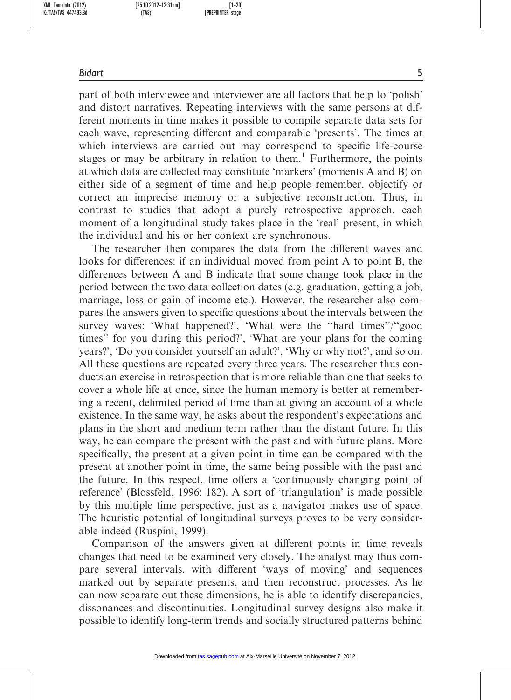part of both interviewee and interviewer are all factors that help to 'polish' and distort narratives. Repeating interviews with the same persons at different moments in time makes it possible to compile separate data sets for each wave, representing different and comparable 'presents'. The times at which interviews are carried out may correspond to specific life-course stages or may be arbitrary in relation to them.<sup>1</sup> Furthermore, the points at which data are collected may constitute 'markers' (moments A and B) on either side of a segment of time and help people remember, objectify or correct an imprecise memory or a subjective reconstruction. Thus, in contrast to studies that adopt a purely retrospective approach, each moment of a longitudinal study takes place in the 'real' present, in which the individual and his or her context are synchronous.

The researcher then compares the data from the different waves and looks for differences: if an individual moved from point A to point B, the differences between A and B indicate that some change took place in the period between the two data collection dates (e.g. graduation, getting a job, marriage, loss or gain of income etc.). However, the researcher also compares the answers given to specific questions about the intervals between the survey waves: 'What happened?', 'What were the "hard times"/"good times'' for you during this period?', 'What are your plans for the coming years?', 'Do you consider yourself an adult?', 'Why or why not?', and so on. All these questions are repeated every three years. The researcher thus conducts an exercise in retrospection that is more reliable than one that seeks to cover a whole life at once, since the human memory is better at remembering a recent, delimited period of time than at giving an account of a whole existence. In the same way, he asks about the respondent's expectations and plans in the short and medium term rather than the distant future. In this way, he can compare the present with the past and with future plans. More specifically, the present at a given point in time can be compared with the present at another point in time, the same being possible with the past and the future. In this respect, time offers a 'continuously changing point of reference' (Blossfeld, 1996: 182). A sort of 'triangulation' is made possible by this multiple time perspective, just as a navigator makes use of space. The heuristic potential of longitudinal surveys proves to be very considerable indeed (Ruspini, 1999).

Comparison of the answers given at different points in time reveals changes that need to be examined very closely. The analyst may thus compare several intervals, with different 'ways of moving' and sequences marked out by separate presents, and then reconstruct processes. As he can now separate out these dimensions, he is able to identify discrepancies, dissonances and discontinuities. Longitudinal survey designs also make it possible to identify long-term trends and socially structured patterns behind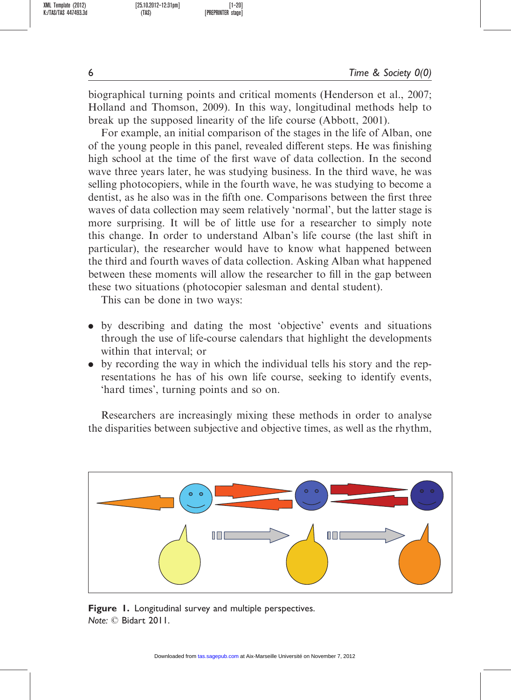biographical turning points and critical moments (Henderson et al., 2007; Holland and Thomson, 2009). In this way, longitudinal methods help to break up the supposed linearity of the life course (Abbott, 2001).

For example, an initial comparison of the stages in the life of Alban, one of the young people in this panel, revealed different steps. He was finishing high school at the time of the first wave of data collection. In the second wave three years later, he was studying business. In the third wave, he was selling photocopiers, while in the fourth wave, he was studying to become a dentist, as he also was in the fifth one. Comparisons between the first three waves of data collection may seem relatively 'normal', but the latter stage is more surprising. It will be of little use for a researcher to simply note this change. In order to understand Alban's life course (the last shift in particular), the researcher would have to know what happened between the third and fourth waves of data collection. Asking Alban what happened between these moments will allow the researcher to fill in the gap between these two situations (photocopier salesman and dental student).

This can be done in two ways:

- . by describing and dating the most 'objective' events and situations through the use of life-course calendars that highlight the developments within that interval; or
- . by recording the way in which the individual tells his story and the representations he has of his own life course, seeking to identify events, 'hard times', turning points and so on.

Researchers are increasingly mixing these methods in order to analyse the disparities between subjective and objective times, as well as the rhythm,



Figure 1. Longitudinal survey and multiple perspectives. Note: © Bidart 2011.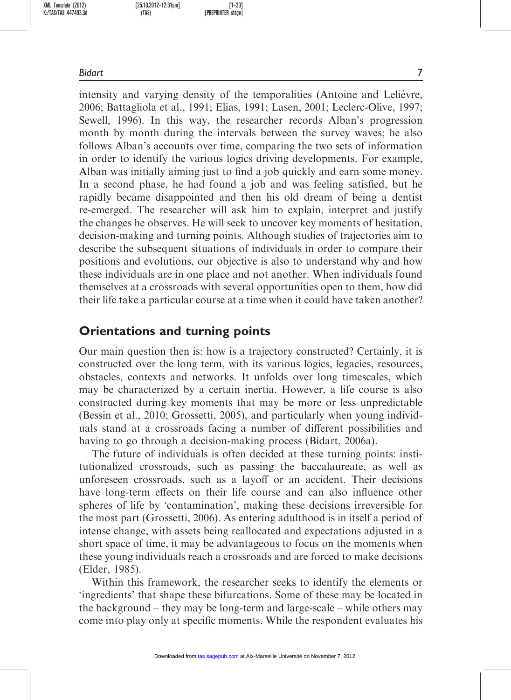intensity and varying density of the temporalities (Antoine and Lelièvre, 2006; Battagliola et al., 1991; Elias, 1991; Lasen, 2001; Leclerc-Olive, 1997; Sewell, 1996). In this way, the researcher records Alban's progression month by month during the intervals between the survey waves; he also follows Alban's accounts over time, comparing the two sets of information in order to identify the various logics driving developments. For example, Alban was initially aiming just to find a job quickly and earn some money. In a second phase, he had found a job and was feeling satisfied, but he rapidly became disappointed and then his old dream of being a dentist re-emerged. The researcher will ask him to explain, interpret and justify the changes he observes. He will seek to uncover key moments of hesitation, decision-making and turning points. Although studies of trajectories aim to describe the subsequent situations of individuals in order to compare their positions and evolutions, our objective is also to understand why and how these individuals are in one place and not another. When individuals found themselves at a crossroads with several opportunities open to them, how did their life take a particular course at a time when it could have taken another?

## Orientations and turning points

Our main question then is: how is a trajectory constructed? Certainly, it is constructed over the long term, with its various logics, legacies, resources, obstacles, contexts and networks. It unfolds over long timescales, which may be characterized by a certain inertia. However, a life course is also constructed during key moments that may be more or less unpredictable (Bessin et al., 2010; Grossetti, 2005), and particularly when young individuals stand at a crossroads facing a number of different possibilities and having to go through a decision-making process (Bidart, 2006a).

The future of individuals is often decided at these turning points: institutionalized crossroads, such as passing the baccalaureate, as well as unforeseen crossroads, such as a layoff or an accident. Their decisions have long-term effects on their life course and can also influence other spheres of life by 'contamination', making these decisions irreversible for the most part (Grossetti, 2006). As entering adulthood is in itself a period of intense change, with assets being reallocated and expectations adjusted in a short space of time, it may be advantageous to focus on the moments when these young individuals reach a crossroads and are forced to make decisions (Elder, 1985).

Within this framework, the researcher seeks to identify the elements or 'ingredients' that shape these bifurcations. Some of these may be located in the background – they may be long-term and large-scale – while others may come into play only at specific moments. While the respondent evaluates his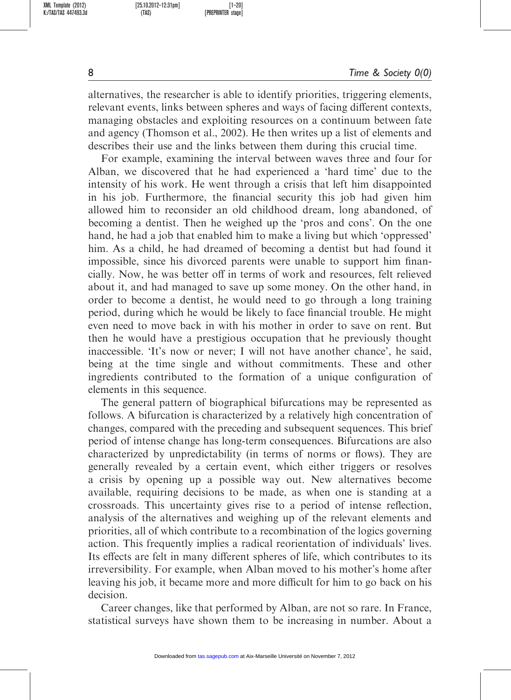alternatives, the researcher is able to identify priorities, triggering elements, relevant events, links between spheres and ways of facing different contexts, managing obstacles and exploiting resources on a continuum between fate and agency (Thomson et al., 2002). He then writes up a list of elements and describes their use and the links between them during this crucial time.

For example, examining the interval between waves three and four for Alban, we discovered that he had experienced a 'hard time' due to the intensity of his work. He went through a crisis that left him disappointed in his job. Furthermore, the financial security this job had given him allowed him to reconsider an old childhood dream, long abandoned, of becoming a dentist. Then he weighed up the 'pros and cons'. On the one hand, he had a job that enabled him to make a living but which 'oppressed' him. As a child, he had dreamed of becoming a dentist but had found it impossible, since his divorced parents were unable to support him financially. Now, he was better off in terms of work and resources, felt relieved about it, and had managed to save up some money. On the other hand, in order to become a dentist, he would need to go through a long training period, during which he would be likely to face financial trouble. He might even need to move back in with his mother in order to save on rent. But then he would have a prestigious occupation that he previously thought inaccessible. 'It's now or never; I will not have another chance', he said, being at the time single and without commitments. These and other ingredients contributed to the formation of a unique configuration of elements in this sequence.

The general pattern of biographical bifurcations may be represented as follows. A bifurcation is characterized by a relatively high concentration of changes, compared with the preceding and subsequent sequences. This brief period of intense change has long-term consequences. Bifurcations are also characterized by unpredictability (in terms of norms or flows). They are generally revealed by a certain event, which either triggers or resolves a crisis by opening up a possible way out. New alternatives become available, requiring decisions to be made, as when one is standing at a crossroads. This uncertainty gives rise to a period of intense reflection, analysis of the alternatives and weighing up of the relevant elements and priorities, all of which contribute to a recombination of the logics governing action. This frequently implies a radical reorientation of individuals' lives. Its effects are felt in many different spheres of life, which contributes to its irreversibility. For example, when Alban moved to his mother's home after leaving his job, it became more and more difficult for him to go back on his decision.

Career changes, like that performed by Alban, are not so rare. In France, statistical surveys have shown them to be increasing in number. About a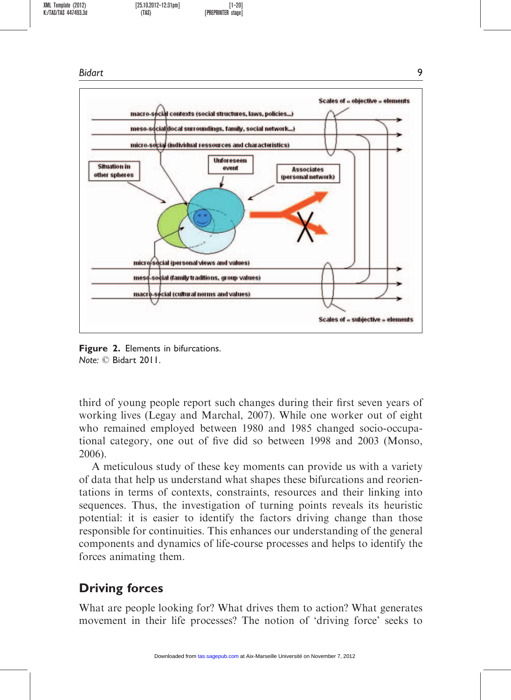

Figure 2. Elements in bifurcations. Note: © Bidart 2011.

third of young people report such changes during their first seven years of working lives (Legay and Marchal, 2007). While one worker out of eight who remained employed between 1980 and 1985 changed socio-occupational category, one out of five did so between 1998 and 2003 (Monso, 2006).

A meticulous study of these key moments can provide us with a variety of data that help us understand what shapes these bifurcations and reorientations in terms of contexts, constraints, resources and their linking into sequences. Thus, the investigation of turning points reveals its heuristic potential: it is easier to identify the factors driving change than those responsible for continuities. This enhances our understanding of the general components and dynamics of life-course processes and helps to identify the forces animating them.

# Driving forces

What are people looking for? What drives them to action? What generates movement in their life processes? The notion of 'driving force' seeks to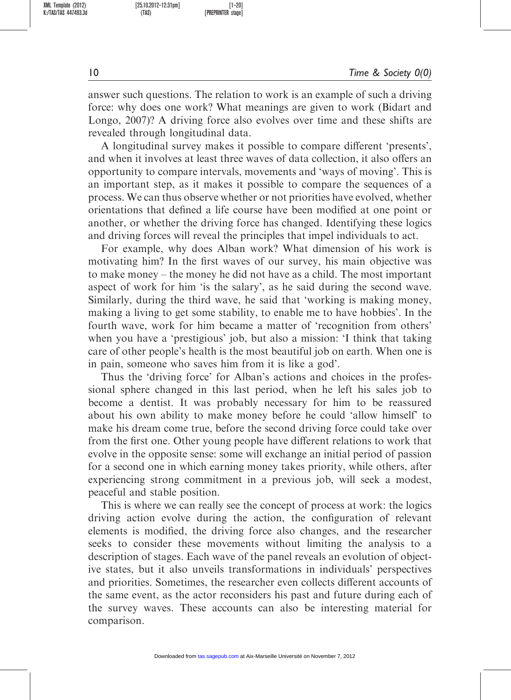answer such questions. The relation to work is an example of such a driving force: why does one work? What meanings are given to work (Bidart and Longo, 2007)? A driving force also evolves over time and these shifts are revealed through longitudinal data.

A longitudinal survey makes it possible to compare different 'presents', and when it involves at least three waves of data collection, it also offers an opportunity to compare intervals, movements and 'ways of moving'. This is an important step, as it makes it possible to compare the sequences of a process. We can thus observe whether or not priorities have evolved, whether orientations that defined a life course have been modified at one point or another, or whether the driving force has changed. Identifying these logics and driving forces will reveal the principles that impel individuals to act.

For example, why does Alban work? What dimension of his work is motivating him? In the first waves of our survey, his main objective was to make money – the money he did not have as a child. The most important aspect of work for him 'is the salary', as he said during the second wave. Similarly, during the third wave, he said that 'working is making money, making a living to get some stability, to enable me to have hobbies'. In the fourth wave, work for him became a matter of 'recognition from others' when you have a 'prestigious' job, but also a mission: 'I think that taking care of other people's health is the most beautiful job on earth. When one is in pain, someone who saves him from it is like a god'.

Thus the 'driving force' for Alban's actions and choices in the professional sphere changed in this last period, when he left his sales job to become a dentist. It was probably necessary for him to be reassured about his own ability to make money before he could 'allow himself' to make his dream come true, before the second driving force could take over from the first one. Other young people have different relations to work that evolve in the opposite sense: some will exchange an initial period of passion for a second one in which earning money takes priority, while others, after experiencing strong commitment in a previous job, will seek a modest, peaceful and stable position.

This is where we can really see the concept of process at work: the logics driving action evolve during the action, the configuration of relevant elements is modified, the driving force also changes, and the researcher seeks to consider these movements without limiting the analysis to a description of stages. Each wave of the panel reveals an evolution of objective states, but it also unveils transformations in individuals' perspectives and priorities. Sometimes, the researcher even collects different accounts of the same event, as the actor reconsiders his past and future during each of the survey waves. These accounts can also be interesting material for comparison.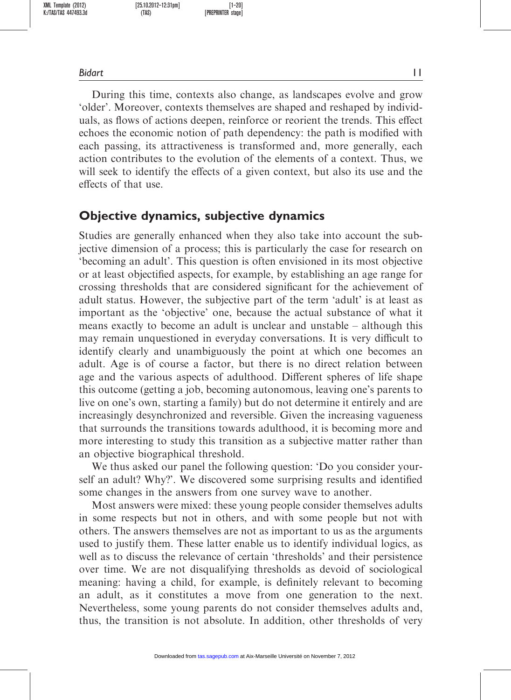During this time, contexts also change, as landscapes evolve and grow 'older'. Moreover, contexts themselves are shaped and reshaped by individuals, as flows of actions deepen, reinforce or reorient the trends. This effect echoes the economic notion of path dependency: the path is modified with each passing, its attractiveness is transformed and, more generally, each action contributes to the evolution of the elements of a context. Thus, we will seek to identify the effects of a given context, but also its use and the effects of that use.

### Objective dynamics, subjective dynamics

Studies are generally enhanced when they also take into account the subjective dimension of a process; this is particularly the case for research on 'becoming an adult'. This question is often envisioned in its most objective or at least objectified aspects, for example, by establishing an age range for crossing thresholds that are considered significant for the achievement of adult status. However, the subjective part of the term 'adult' is at least as important as the 'objective' one, because the actual substance of what it means exactly to become an adult is unclear and unstable – although this may remain unquestioned in everyday conversations. It is very difficult to identify clearly and unambiguously the point at which one becomes an adult. Age is of course a factor, but there is no direct relation between age and the various aspects of adulthood. Different spheres of life shape this outcome (getting a job, becoming autonomous, leaving one's parents to live on one's own, starting a family) but do not determine it entirely and are increasingly desynchronized and reversible. Given the increasing vagueness that surrounds the transitions towards adulthood, it is becoming more and more interesting to study this transition as a subjective matter rather than an objective biographical threshold.

We thus asked our panel the following question: 'Do you consider yourself an adult? Why?'. We discovered some surprising results and identified some changes in the answers from one survey wave to another.

Most answers were mixed: these young people consider themselves adults in some respects but not in others, and with some people but not with others. The answers themselves are not as important to us as the arguments used to justify them. These latter enable us to identify individual logics, as well as to discuss the relevance of certain 'thresholds' and their persistence over time. We are not disqualifying thresholds as devoid of sociological meaning: having a child, for example, is definitely relevant to becoming an adult, as it constitutes a move from one generation to the next. Nevertheless, some young parents do not consider themselves adults and, thus, the transition is not absolute. In addition, other thresholds of very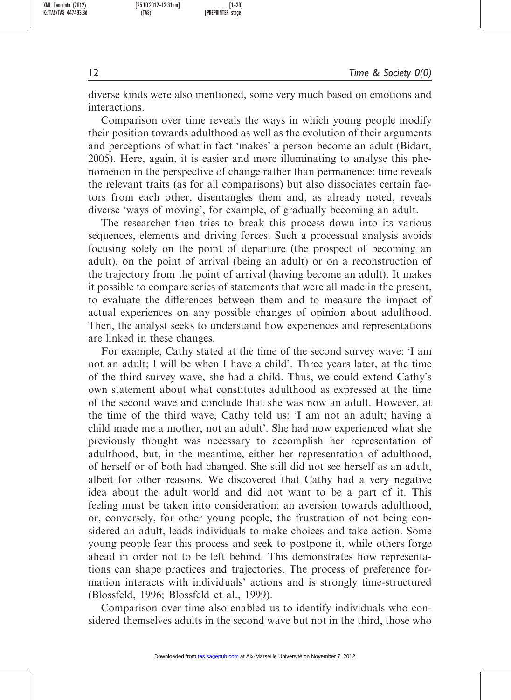diverse kinds were also mentioned, some very much based on emotions and interactions.

Comparison over time reveals the ways in which young people modify their position towards adulthood as well as the evolution of their arguments and perceptions of what in fact 'makes' a person become an adult (Bidart, 2005). Here, again, it is easier and more illuminating to analyse this phenomenon in the perspective of change rather than permanence: time reveals the relevant traits (as for all comparisons) but also dissociates certain factors from each other, disentangles them and, as already noted, reveals diverse 'ways of moving', for example, of gradually becoming an adult.

The researcher then tries to break this process down into its various sequences, elements and driving forces. Such a processual analysis avoids focusing solely on the point of departure (the prospect of becoming an adult), on the point of arrival (being an adult) or on a reconstruction of the trajectory from the point of arrival (having become an adult). It makes it possible to compare series of statements that were all made in the present, to evaluate the differences between them and to measure the impact of actual experiences on any possible changes of opinion about adulthood. Then, the analyst seeks to understand how experiences and representations are linked in these changes.

For example, Cathy stated at the time of the second survey wave: 'I am not an adult; I will be when I have a child'. Three years later, at the time of the third survey wave, she had a child. Thus, we could extend Cathy's own statement about what constitutes adulthood as expressed at the time of the second wave and conclude that she was now an adult. However, at the time of the third wave, Cathy told us: 'I am not an adult; having a child made me a mother, not an adult'. She had now experienced what she previously thought was necessary to accomplish her representation of adulthood, but, in the meantime, either her representation of adulthood, of herself or of both had changed. She still did not see herself as an adult, albeit for other reasons. We discovered that Cathy had a very negative idea about the adult world and did not want to be a part of it. This feeling must be taken into consideration: an aversion towards adulthood, or, conversely, for other young people, the frustration of not being considered an adult, leads individuals to make choices and take action. Some young people fear this process and seek to postpone it, while others forge ahead in order not to be left behind. This demonstrates how representations can shape practices and trajectories. The process of preference formation interacts with individuals' actions and is strongly time-structured (Blossfeld, 1996; Blossfeld et al., 1999).

Comparison over time also enabled us to identify individuals who considered themselves adults in the second wave but not in the third, those who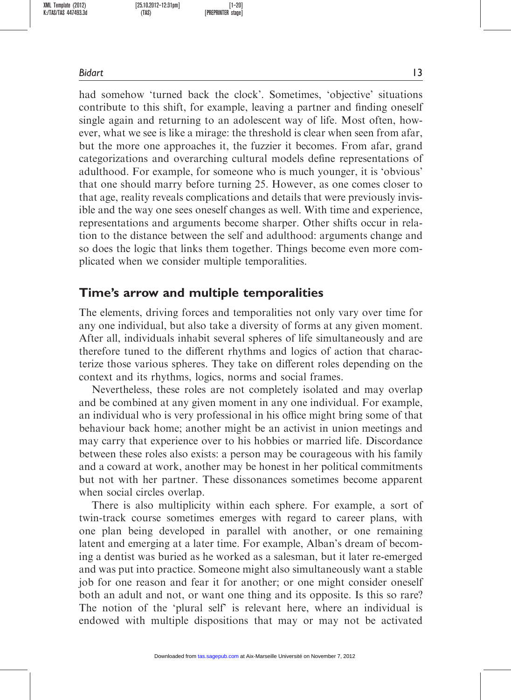had somehow 'turned back the clock'. Sometimes, 'objective' situations contribute to this shift, for example, leaving a partner and finding oneself single again and returning to an adolescent way of life. Most often, however, what we see is like a mirage: the threshold is clear when seen from afar, but the more one approaches it, the fuzzier it becomes. From afar, grand categorizations and overarching cultural models define representations of adulthood. For example, for someone who is much younger, it is 'obvious' that one should marry before turning 25. However, as one comes closer to that age, reality reveals complications and details that were previously invisible and the way one sees oneself changes as well. With time and experience, representations and arguments become sharper. Other shifts occur in relation to the distance between the self and adulthood: arguments change and so does the logic that links them together. Things become even more complicated when we consider multiple temporalities.

### Time's arrow and multiple temporalities

The elements, driving forces and temporalities not only vary over time for any one individual, but also take a diversity of forms at any given moment. After all, individuals inhabit several spheres of life simultaneously and are therefore tuned to the different rhythms and logics of action that characterize those various spheres. They take on different roles depending on the context and its rhythms, logics, norms and social frames.

Nevertheless, these roles are not completely isolated and may overlap and be combined at any given moment in any one individual. For example, an individual who is very professional in his office might bring some of that behaviour back home; another might be an activist in union meetings and may carry that experience over to his hobbies or married life. Discordance between these roles also exists: a person may be courageous with his family and a coward at work, another may be honest in her political commitments but not with her partner. These dissonances sometimes become apparent when social circles overlap.

There is also multiplicity within each sphere. For example, a sort of twin-track course sometimes emerges with regard to career plans, with one plan being developed in parallel with another, or one remaining latent and emerging at a later time. For example, Alban's dream of becoming a dentist was buried as he worked as a salesman, but it later re-emerged and was put into practice. Someone might also simultaneously want a stable job for one reason and fear it for another; or one might consider oneself both an adult and not, or want one thing and its opposite. Is this so rare? The notion of the 'plural self' is relevant here, where an individual is endowed with multiple dispositions that may or may not be activated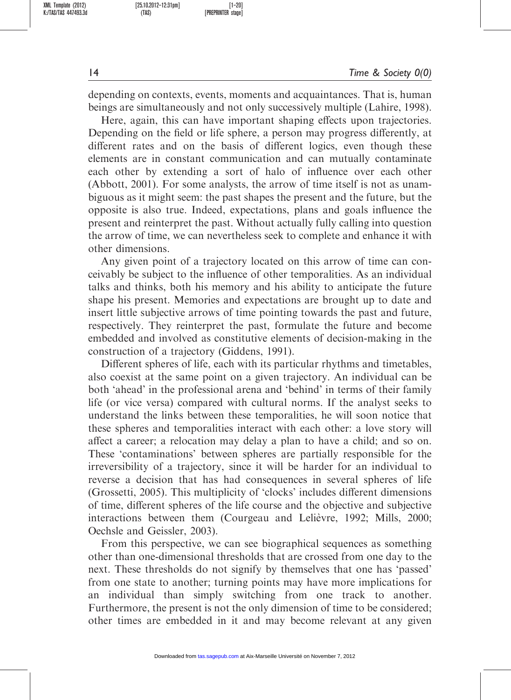depending on contexts, events, moments and acquaintances. That is, human beings are simultaneously and not only successively multiple (Lahire, 1998).

Here, again, this can have important shaping effects upon trajectories. Depending on the field or life sphere, a person may progress differently, at different rates and on the basis of different logics, even though these elements are in constant communication and can mutually contaminate each other by extending a sort of halo of influence over each other (Abbott, 2001). For some analysts, the arrow of time itself is not as unambiguous as it might seem: the past shapes the present and the future, but the opposite is also true. Indeed, expectations, plans and goals influence the present and reinterpret the past. Without actually fully calling into question the arrow of time, we can nevertheless seek to complete and enhance it with other dimensions.

Any given point of a trajectory located on this arrow of time can conceivably be subject to the influence of other temporalities. As an individual talks and thinks, both his memory and his ability to anticipate the future shape his present. Memories and expectations are brought up to date and insert little subjective arrows of time pointing towards the past and future, respectively. They reinterpret the past, formulate the future and become embedded and involved as constitutive elements of decision-making in the construction of a trajectory (Giddens, 1991).

Different spheres of life, each with its particular rhythms and timetables, also coexist at the same point on a given trajectory. An individual can be both 'ahead' in the professional arena and 'behind' in terms of their family life (or vice versa) compared with cultural norms. If the analyst seeks to understand the links between these temporalities, he will soon notice that these spheres and temporalities interact with each other: a love story will affect a career; a relocation may delay a plan to have a child; and so on. These 'contaminations' between spheres are partially responsible for the irreversibility of a trajectory, since it will be harder for an individual to reverse a decision that has had consequences in several spheres of life (Grossetti, 2005). This multiplicity of 'clocks' includes different dimensions of time, different spheres of the life course and the objective and subjective interactions between them (Courgeau and Lelièvre, 1992; Mills, 2000; Oechsle and Geissler, 2003).

From this perspective, we can see biographical sequences as something other than one-dimensional thresholds that are crossed from one day to the next. These thresholds do not signify by themselves that one has 'passed' from one state to another; turning points may have more implications for an individual than simply switching from one track to another. Furthermore, the present is not the only dimension of time to be considered; other times are embedded in it and may become relevant at any given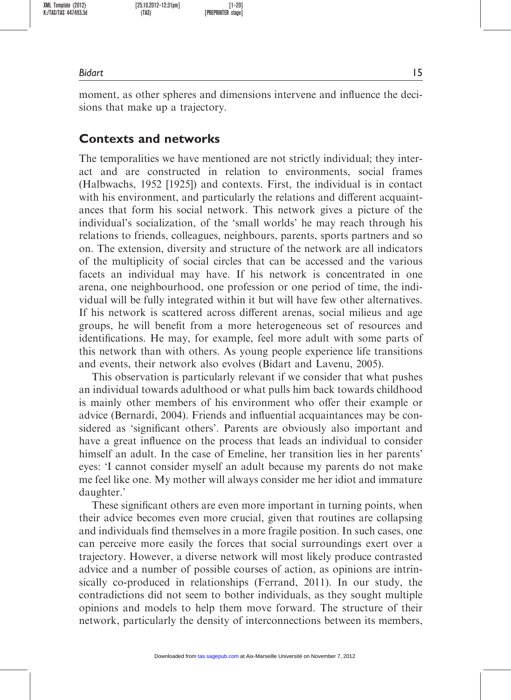moment, as other spheres and dimensions intervene and influence the decisions that make up a trajectory.

### Contexts and networks

The temporalities we have mentioned are not strictly individual; they interact and are constructed in relation to environments, social frames (Halbwachs, 1952 [1925]) and contexts. First, the individual is in contact with his environment, and particularly the relations and different acquaintances that form his social network. This network gives a picture of the individual's socialization, of the 'small worlds' he may reach through his relations to friends, colleagues, neighbours, parents, sports partners and so on. The extension, diversity and structure of the network are all indicators of the multiplicity of social circles that can be accessed and the various facets an individual may have. If his network is concentrated in one arena, one neighbourhood, one profession or one period of time, the individual will be fully integrated within it but will have few other alternatives. If his network is scattered across different arenas, social milieus and age groups, he will benefit from a more heterogeneous set of resources and identifications. He may, for example, feel more adult with some parts of this network than with others. As young people experience life transitions and events, their network also evolves (Bidart and Lavenu, 2005).

This observation is particularly relevant if we consider that what pushes an individual towards adulthood or what pulls him back towards childhood is mainly other members of his environment who offer their example or advice (Bernardi, 2004). Friends and influential acquaintances may be considered as 'significant others'. Parents are obviously also important and have a great influence on the process that leads an individual to consider himself an adult. In the case of Emeline, her transition lies in her parents' eyes: 'I cannot consider myself an adult because my parents do not make me feel like one. My mother will always consider me her idiot and immature daughter.'

These significant others are even more important in turning points, when their advice becomes even more crucial, given that routines are collapsing and individuals find themselves in a more fragile position. In such cases, one can perceive more easily the forces that social surroundings exert over a trajectory. However, a diverse network will most likely produce contrasted advice and a number of possible courses of action, as opinions are intrinsically co-produced in relationships (Ferrand, 2011). In our study, the contradictions did not seem to bother individuals, as they sought multiple opinions and models to help them move forward. The structure of their network, particularly the density of interconnections between its members,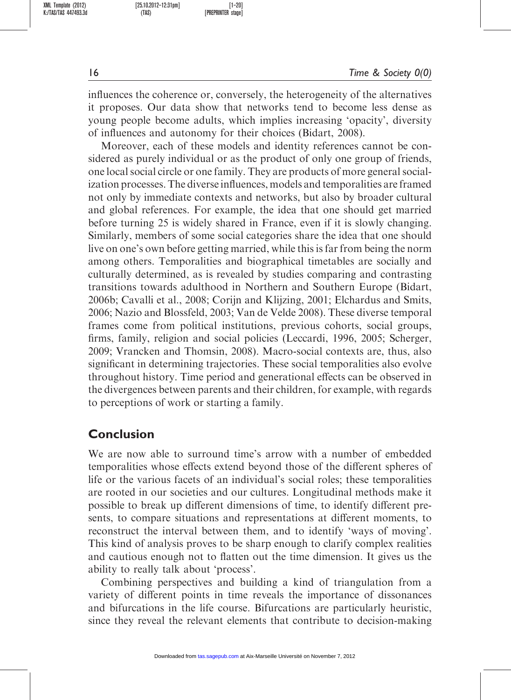influences the coherence or, conversely, the heterogeneity of the alternatives it proposes. Our data show that networks tend to become less dense as young people become adults, which implies increasing 'opacity', diversity of influences and autonomy for their choices (Bidart, 2008).

Moreover, each of these models and identity references cannot be considered as purely individual or as the product of only one group of friends, one local social circle or one family. They are products of more general socialization processes. The diverse influences, models and temporalities are framed not only by immediate contexts and networks, but also by broader cultural and global references. For example, the idea that one should get married before turning 25 is widely shared in France, even if it is slowly changing. Similarly, members of some social categories share the idea that one should live on one's own before getting married, while this is far from being the norm among others. Temporalities and biographical timetables are socially and culturally determined, as is revealed by studies comparing and contrasting transitions towards adulthood in Northern and Southern Europe (Bidart, 2006b; Cavalli et al., 2008; Corijn and Klijzing, 2001; Elchardus and Smits, 2006; Nazio and Blossfeld, 2003; Van de Velde 2008). These diverse temporal frames come from political institutions, previous cohorts, social groups, firms, family, religion and social policies (Leccardi, 1996, 2005; Scherger, 2009; Vrancken and Thomsin, 2008). Macro-social contexts are, thus, also significant in determining trajectories. These social temporalities also evolve throughout history. Time period and generational effects can be observed in the divergences between parents and their children, for example, with regards to perceptions of work or starting a family.

### Conclusion

We are now able to surround time's arrow with a number of embedded temporalities whose effects extend beyond those of the different spheres of life or the various facets of an individual's social roles; these temporalities are rooted in our societies and our cultures. Longitudinal methods make it possible to break up different dimensions of time, to identify different presents, to compare situations and representations at different moments, to reconstruct the interval between them, and to identify 'ways of moving'. This kind of analysis proves to be sharp enough to clarify complex realities and cautious enough not to flatten out the time dimension. It gives us the ability to really talk about 'process'.

Combining perspectives and building a kind of triangulation from a variety of different points in time reveals the importance of dissonances and bifurcations in the life course. Bifurcations are particularly heuristic, since they reveal the relevant elements that contribute to decision-making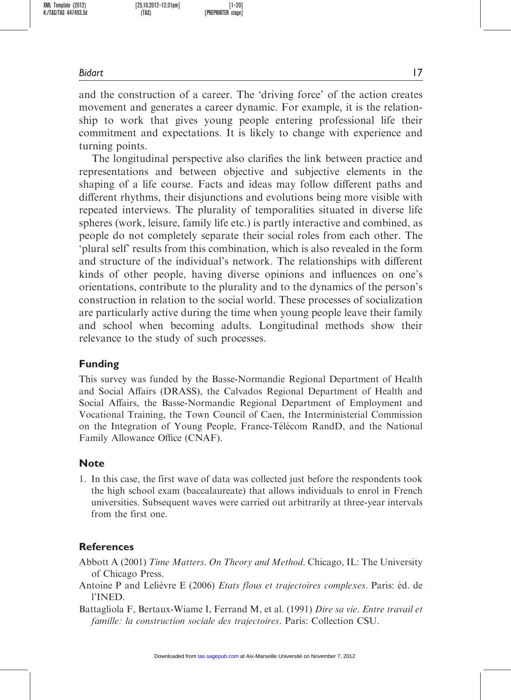and the construction of a career. The 'driving force' of the action creates movement and generates a career dynamic. For example, it is the relationship to work that gives young people entering professional life their commitment and expectations. It is likely to change with experience and turning points.

The longitudinal perspective also clarifies the link between practice and representations and between objective and subjective elements in the shaping of a life course. Facts and ideas may follow different paths and different rhythms, their disjunctions and evolutions being more visible with repeated interviews. The plurality of temporalities situated in diverse life spheres (work, leisure, family life etc.) is partly interactive and combined, as people do not completely separate their social roles from each other. The 'plural self' results from this combination, which is also revealed in the form and structure of the individual's network. The relationships with different kinds of other people, having diverse opinions and influences on one's orientations, contribute to the plurality and to the dynamics of the person's construction in relation to the social world. These processes of socialization are particularly active during the time when young people leave their family and school when becoming adults. Longitudinal methods show their relevance to the study of such processes.

### Funding

This survey was funded by the Basse-Normandie Regional Department of Health and Social Affairs (DRASS), the Calvados Regional Department of Health and Social Affairs, the Basse-Normandie Regional Department of Employment and Vocational Training, the Town Council of Caen, the Interministerial Commission on the Integration of Young People, France-Télécom RandD, and the National Family Allowance Office (CNAF).

#### **Note**

1. In this case, the first wave of data was collected just before the respondents took the high school exam (baccalaureate) that allows individuals to enrol in French universities. Subsequent waves were carried out arbitrarily at three-year intervals from the first one.

#### References

- Abbott A (2001) Time Matters. On Theory and Method. Chicago, IL: The University of Chicago Press.
- Antoine P and Lelièvre E (2006) *Etats flous et trajectoires complexes*. Paris: éd. de l'INED.
- Battagliola F, Bertaux-Wiame I, Ferrand M, et al. (1991) Dire sa vie. Entre travail et famille: la construction sociale des trajectoires. Paris: Collection CSU.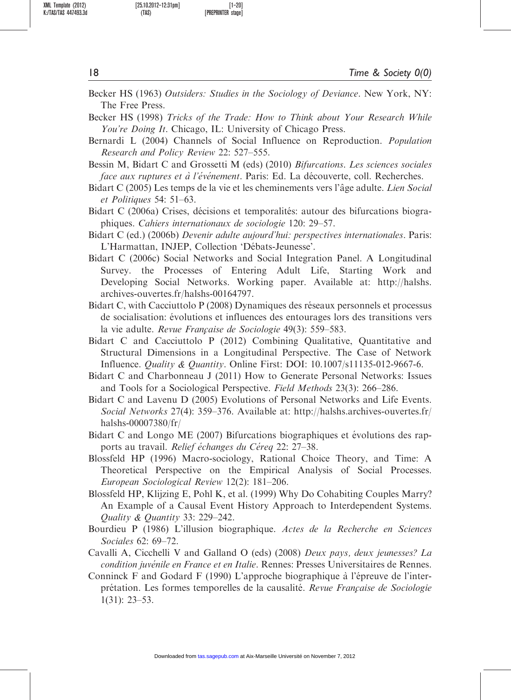- Becker HS (1963) Outsiders: Studies in the Sociology of Deviance. New York, NY: The Free Press.
- Becker HS (1998) Tricks of the Trade: How to Think about Your Research While You're Doing It. Chicago, IL: University of Chicago Press.
- Bernardi L (2004) Channels of Social Influence on Reproduction. Population Research and Policy Review 22: 527–555.
- Bessin M, Bidart C and Grossetti M (eds) (2010) Bifurcations. Les sciences sociales face aux ruptures et à l'événement. Paris: Ed. La découverte, coll. Recherches.
- Bidart C (2005) Les temps de la vie et les cheminements vers l'âge adulte. Lien Social et Politiques 54: 51–63.
- Bidart C (2006a) Crises, décisions et temporalités: autour des bifurcations biographiques. Cahiers internationaux de sociologie 120: 29–57.
- Bidart C (ed.) (2006b) Devenir adulte aujourd'hui: perspectives internationales. Paris: L'Harmattan, INJEP, Collection 'Débats-Jeunesse'.
- Bidart C (2006c) Social Networks and Social Integration Panel. A Longitudinal Survey. the Processes of Entering Adult Life, Starting Work and Developing Social Networks. Working paper. Available at: http://halshs. archives-ouvertes.fr/halshs-00164797.
- Bidart C, with Cacciuttolo P (2008) Dynamiques des réseaux personnels et processus de socialisation: évolutions et influences des entourages lors des transitions vers la vie adulte. Revue Française de Sociologie 49(3): 559–583.
- Bidart C and Cacciuttolo P (2012) Combining Qualitative, Quantitative and Structural Dimensions in a Longitudinal Perspective. The Case of Network Influence. Quality & Quantity. Online First: DOI: 10.1007/s11135-012-9667-6.
- Bidart C and Charbonneau J (2011) How to Generate Personal Networks: Issues and Tools for a Sociological Perspective. Field Methods 23(3): 266–286.
- Bidart C and Lavenu D (2005) Evolutions of Personal Networks and Life Events. Social Networks 27(4): 359–376. Available at: http://halshs.archives-ouvertes.fr/ halshs-00007380/fr/
- Bidart C and Longo ME (2007) Bifurcations biographiques et évolutions des rapports au travail. Relief échanges du Céreq 22: 27–38.
- Blossfeld HP (1996) Macro-sociology, Rational Choice Theory, and Time: A Theoretical Perspective on the Empirical Analysis of Social Processes. European Sociological Review 12(2): 181–206.
- Blossfeld HP, Klijzing E, Pohl K, et al. (1999) Why Do Cohabiting Couples Marry? An Example of a Causal Event History Approach to Interdependent Systems. Quality & Quantity 33: 229–242.
- Bourdieu P (1986) L'illusion biographique. Actes de la Recherche en Sciences Sociales 62: 69–72.
- Cavalli A, Cicchelli V and Galland O (eds) (2008) Deux pays, deux jeunesses? La condition juvénile en France et en Italie. Rennes: Presses Universitaires de Rennes.
- Conninck F and Godard F (1990) L'approche biographique à l'épreuve de l'interprétation. Les formes temporelles de la causalité. Revue Française de Sociologie 1(31): 23–53.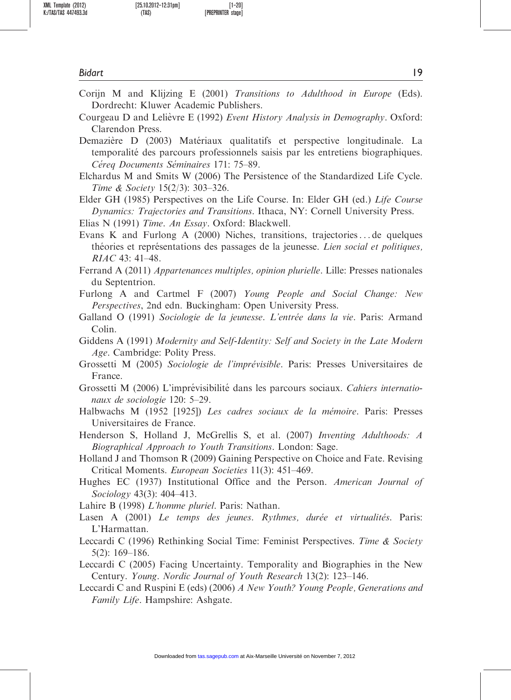- Corijn M and Klijzing E (2001) Transitions to Adulthood in Europe (Eds). Dordrecht: Kluwer Academic Publishers.
- Courgeau D and Lelièvre E (1992) Event History Analysis in Demography. Oxford: Clarendon Press.
- Demazière D (2003) Matériaux qualitatifs et perspective longitudinale. La temporalité des parcours professionnels saisis par les entretiens biographiques. Cérea Documents Séminaires 171: 75–89.
- Elchardus M and Smits W (2006) The Persistence of the Standardized Life Cycle. Time & Society 15(2/3): 303–326.
- Elder GH (1985) Perspectives on the Life Course. In: Elder GH (ed.) Life Course Dynamics: Trajectories and Transitions. Ithaca, NY: Cornell University Press.
- Elias N (1991) Time. An Essay. Oxford: Blackwell.
- Evans K and Furlong A (2000) Niches, transitions, trajectories... de quelques théories et représentations des passages de la jeunesse. Lien social et politiques, RIAC 43: 41–48.
- Ferrand A (2011) Appartenances multiples, opinion plurielle. Lille: Presses nationales du Septentrion.
- Furlong A and Cartmel F (2007) Young People and Social Change: New Perspectives, 2nd edn. Buckingham: Open University Press.
- Galland O (1991) Sociologie de la jeunesse. L'entrée dans la vie. Paris: Armand Colin.
- Giddens A (1991) Modernity and Self-Identity: Self and Society in the Late Modern Age. Cambridge: Polity Press.
- Grossetti M (2005) Sociologie de l'imprévisible. Paris: Presses Universitaires de France.
- Grossetti M (2006) L'imprévisibilité dans les parcours sociaux. Cahiers internationaux de sociologie 120: 5–29.
- Halbwachs M (1952 [1925]) Les cadres sociaux de la mémoire. Paris: Presses Universitaires de France.
- Henderson S, Holland J, McGrellis S, et al. (2007) Inventing Adulthoods: A Biographical Approach to Youth Transitions. London: Sage.
- Holland J and Thomson R (2009) Gaining Perspective on Choice and Fate. Revising Critical Moments. European Societies 11(3): 451–469.
- Hughes EC (1937) Institutional Office and the Person. American Journal of Sociology 43(3): 404–413.
- Lahire B (1998) L'homme pluriel. Paris: Nathan.
- Lasen A (2001) Le temps des jeunes. Rythmes, durée et virtualités. Paris: L'Harmattan.
- Leccardi C (1996) Rethinking Social Time: Feminist Perspectives. Time & Society 5(2): 169–186.
- Leccardi C (2005) Facing Uncertainty. Temporality and Biographies in the New Century. Young. Nordic Journal of Youth Research 13(2): 123–146.
- Leccardi C and Ruspini E (eds) (2006) A New Youth? Young People, Generations and Family Life. Hampshire: Ashgate.